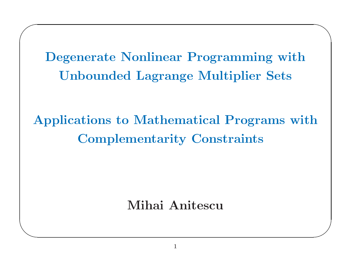Degenerate Nonlinear Programming with<br>Unbounded Lagrange Multiplier Sets<br>Programs to Mathematical Programs with e Nonlinear Programming<br>ded Lagrange Multiplier S<br> Unbounded

 $\bigwedge$ 

 $\bigvee$ 

 $\sqrt{2}$ 

 $\setminus$ 

d Lagrange Multiplier Sets<br>o Mathematical Programs<br>ementarity Constraints Applications to Mathematical Programs with<br>Complementarity Constraints s to<br>ple1<br> Complementarity Constraints

Mihai Anitescu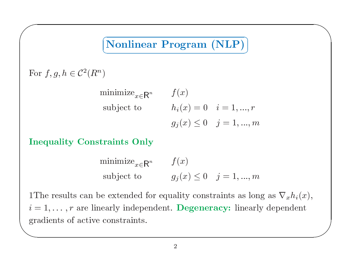# $\left($   $\frac{1}{2}$   $\frac{1}{2}$   $\frac{1}{2}$   $\frac{1}{2}$   $\frac{1}{2}$   $\frac{1}{2}$   $\frac{1}{2}$   $\frac{1}{2}$   $\frac{1}{2}$   $\frac{1}{2}$   $\frac{1}{2}$   $\frac{1}{2}$   $\frac{1}{2}$   $\frac{1}{2}$   $\frac{1}{2}$   $\frac{1}{2}$   $\frac{1}{2}$   $\frac{1}{2}$   $\frac{1}{2}$   $\frac{1}{2}$   $\frac{1}{2}$   $\frac{1$ V Τ Nonlinear Program

 $\bigwedge$ 

For  $f, g, h \in C^2(R^n)$ <br>m

 $\sqrt{2}$ 

minimize $_{x\in\mathsf{R}}$  $\begin{array}{ll} \textbf{rogram} \; (\textbf{NLP}) \ \ h_i(x) = 0 & i=1,.. \ \ g_j(x) \leq 0 & j=1,.\ \end{array}$  $R^n$  $\begin{array}{ccc} n & & f \ & & h \ & & g \end{array}$  $\begin{aligned} \text{subject to}\qquad && h_i(x)=\ && g_j(x)\leq \ \text{raints} &\ \text{Only} \end{aligned}$  $= 0$   $i = 1, ..., r$ <br>  $\leq 0$   $j = 1, ..., r$ 

$$
g_j(x) \le 0 \quad j = 1,...,m
$$
  
Inequality Constraints Only  
minimize<sub>x \in R^n</sub>  $f(x)$   
subject to  $g_j(x) \le 0 \quad j = 1,...,m$   
1The results can be extended for equality constraints as lon

**Part**  $\overline{\phantom{a}}$  $\begin{align} \text{subject to} \ \text{extended} \ \text{complex index} \end{align}$ subject to  $g_j(x) \le 0$   $j = 1, ..., m$ <br>
n be extended for equality constraints as long as  $\nabla_x h_i(x)$ ,<br>
linearly independent. **Degeneracy:** linearly dependent<br>
ive constraints.  $1{\rm The}$  $r_1, \ldots, r$  are l<br>alients of activitients  $i = 1, \ldots, r$  are linearly independent. Degeneracy: linearly dependent gradients of active constraints.  $\imath = \ \mathrm{gra}$ gradients of active constraints.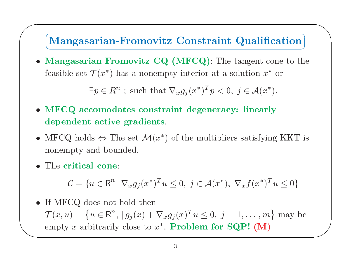# $\setminus$

 $\bigwedge$ 

 $\overline{\phantom{a}}$ 

**Mangasarian-Fromovitz Constraint Qualification**<br> **Mangasarian Fromovitz CQ (MFCQ)**: The tangent cone to the<br>
feasible set  $\mathcal{T}(x^*)$  has a nonempty interior at a solution  $x^*$  or<br>  $\exists p \in R^n$ ; such that  $\nabla_x g_j(x^*)^T p < 0$ , **movitz CQ (MFCQ)**: The tangent cone to th<br>has a nonempty interior at a solution  $x^*$  or<br>; such that  $\nabla_x g_j(x^*)^T p < 0$ ,  $j \in \mathcal{A}(x^*)$ . • Mangasarian Fromovitz CQ (MFCQ): The tangent cone to the feasible set  $\mathcal{T}(x^*)$  has a nonempty interior at a solution  $x^*$  or  $\exists p \in R^n$ ; such that  $\nabla_x g_j(x^*)^T p < 0$ ,  $j \in \mathcal{A}(x^*)$ . **n Fromovitz CQ (MFCQ)**: The tangent cone to  $(x^*)$  has a nonempty interior at a solution  $x^*$  or  $p \in R^n$ ; such that  $\nabla_x g_j(x^*)^T p < 0$ ,  $j \in \mathcal{A}(x^*)$ .<br>production constraint degeneracy: linearly active gradients.  $:$  The at a feasible set  $\mathcal{T}$ <br> $\exists p$ 

- $\mathcal{T}(x^*)$  has a nonempty interior at a solution  $x^*$  or<br> $\exists p \in R^n$ ; such that  $\nabla_x g_j(x^*)^T p < 0$ ,  $j \in \mathcal{A}(x^*)$ .<br>comodates constraint degeneracy: linearly  $\exists p \in R^n \text{ ; such that } \nabla_x g_j(x^*)^T p < 0 \ \text{comodates constraint degenera: }$ <br>active gradients.<br> $\text{ds} \Leftrightarrow \text{The set } \mathcal{M}(x^*) \text{ of the multipl.}$  $p \in$ om  $\exists p \in R^n$ ; such that  $\nabla_x g_j(x^*)^T p < 0$ ,  $j \in \mathcal{A}(x^*)$ .<br>
• MFCQ accomodates constraint degeneracy: linearly<br>
dependent active gradients.<br>
• MFCQ holds  $\Leftrightarrow$  The set  $\mathcal{M}(x^*)$  of the multipliers satisfying<br>
nonempty and  $\bullet$ dependent active gradients.
- t active gradients.<br>ds  $\Leftrightarrow$  The set  $\mathcal{M}(x^*)$ <br>and bounded. • MFCQ holds  $\Leftrightarrow$  The set  $\mathcal{M}(x^*)$  of the multipliers satisfying KKT is<br>
nonempty and bounded.<br>
• The critical cone:<br>  $\mathcal{C} = \{u \in \mathbb{R}^n \mid \nabla_x g_j(x^*)^T u \le 0, \ j \in \mathcal{A}(x^*), \ \nabla_x f(x^*)^T u \le 0\}$ <br>
• If MFCQ does not ho
- The critical cone:

 $\sqrt{2}$ 

onempty and bounded.

\n\n- The critical cone:
\n- $$
\mathcal{C} = \{ u \in \mathbb{R}^n \mid \nabla_x g_j(x^*)^T u \leq 0, \ j \in \mathcal{A}(x^*) , \ \nabla_x f(x^*)^T u \leq 0 \}
$$
\n- If MFCQ does not hold then
\n

 $\setminus$  $C =$ <br> $CQ$ <br> $L) =$  $C = \{u \in \mathbb{R}^n | \nabla_x g_j(x^*)^T u \leq 0, \ j \in \mathcal{A}(x^*), \ \nabla_x f(x^*)^T u \leq 0\}$ <br>
• If MFCQ does not hold then<br>  $\mathcal{T}(x, u) = \{u \in \mathbb{R}^n, |g_j(x) + \nabla_x g_j(x)^T u \leq 0, \ j = 1, ..., m\}$  may<br>
empty x arbitrarily close to  $x^*$ . **Problem for SQP!**  $\mathcal{T}(x, u) = \{u \in \mathbb{R}^n, |g_j(x) + \nabla_x g_j(x)^T u \le 0, j = 1, ..., m\}$  may be<br>empty x arbitrarily close to  $x^*$ . **Problem for SQP!** (M)<br>3 empty x arbitrarily close to  $x^*$ . **Problem for SQP!** (M)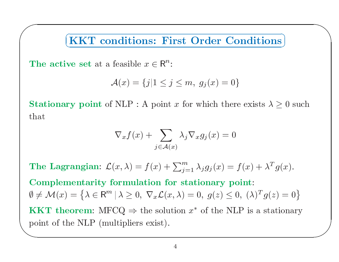$\subset$ V.  $\bigwedge$ 

 $\overline{\phantom{a}}$ 

The active set at a feasible  $x$ <br> $\mathcal{A}(x) = \{f\}$ <br>Stationary point of NLP · A

 $\sqrt{2}$ 

$$
\mathcal{A}(x) = \{j | 1 \le j \le m, g_j(x) = 0\}
$$

ve set at a feasible  $x \in \mathbb{R}^n$ :<br>  $\mathcal{A}(x) = \{j | 1 \le j \le m, g_j(x) = 0\}$ <br>
ry point of NLP : A point x for which there<br>  $\nabla_x f(x) + \sum \lambda_j \nabla_x g_j(x) = 0$ **KKT conditions: First Order Conditions**<br>
ve set at a feasible  $x \in \mathbb{R}^n$ :<br>  $\mathcal{A}(x) = \{j | 1 \le j \le m, g_j(x) = 0\}$ <br>
y point of NLP : A point x for which there exists  $\lambda \ge$ Stationary point of NLP : A point x for which there exists  $\lambda \ge 0$  such<br>that<br> $\nabla_x f(x) + \sum_{j \in \mathcal{A}(x)} \lambda_j \nabla_x g_j(x) = 0$ that

$$
\nabla_x f(x) + \sum_{j \in \mathcal{A}(x)} \lambda_j \nabla_x g_j(x) = 0
$$
  
(x, \lambda) = f(x) + \sum\_{j=1}^m \lambda\_j g\_j(x) =  
or  
mulation for stationary pc

 $\sqrt{bc}$ The Lagrangian:  $\mathcal{L}(x, \lambda) = f(x) + \sum_{j=1}^{m} \lambda_j g_j(x) = f(x) + \lambda^T g(x)$ .<br>Complementarity formulation for stationary point:<br> $\emptyset \neq \mathcal{M}(x) = \{\lambda \in \mathbb{R}^m \mid \lambda \geq 0, \nabla_x \mathcal{L}(x, \lambda) = 0, \ g(z) \leq 0, \ (\lambda)^T g(z) = 0\}$ <br>KKT theorem: MFCQ  $\Rightarrow$ e Lagrangian:  $\mathcal{L}(x, \lambda) = f(x) + \sum_{j=1}^{m} \lambda_j g_j(x) = f(x)$ <br>
mplementarity formulation for stationary point:<br>  $\mathcal{M}(x) = \{ \lambda \in \mathbb{R}^m \mid \lambda \geq 0, \nabla_x \mathcal{L}(x, \lambda) = 0, \ g(z) \leq 0, \ (\lambda \in \mathbb{R}^m) \}$ <br>  $\Delta \mathcal{L}(x, \lambda) = \Delta \mathcal{L}(x, \lambda)$ <br>  $\Delta$ Complementarity formulation for stationary point:  $\emptyset \neq \mathcal{M}(x) = \left\{ \lambda \in \mathbb{R}^m \mid \lambda \geq 0, \nabla_x \mathcal{L}(x, \lambda) = 0, \ g(z) \leq 0, \ (\lambda)^T g(z) = 0 \right\}$ <br> **KKT theorem:** MFCQ  $\Rightarrow$  the solution  $x^*$  of the NLP is a stationary<br>
point of the NLP (multipliers exist). **KKT** theorem: MFCQ  $\Rightarrow$  the solution  $x^*$  of the NLP is a stationary T theorem:  $MFCQ \Rightarrow$ <br>t of the NLP (multiplie)  $\Rightarrow$  the solution  $x^*$  of the NLP is a stationary<br>liers exist). point of the NLP (multipliers exist).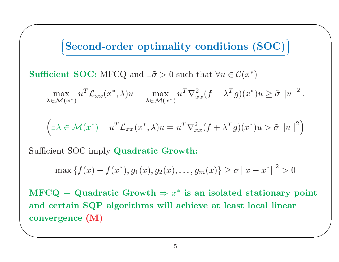# $\left(\frac{1}{2}x^2 + \frac{1}{2}x^2 + \frac{1}{2}x^2 + \frac{1}{2}x^2 + \frac{1}{2}x^2 + \frac{1}{2}x^2 + \frac{1}{2}x^2 + \frac{1}{2}x^2 + \frac{1}{2}x^2 + \frac{1}{2}x^2 + \frac{1}{2}x^2 + \frac{1}{2}x^2 + \frac{1}{2}x^2 + \frac{1}{2}x^2 + \frac{1}{2}x^2 + \frac{1}{2}x^2 + \frac{1}{2}x^2 + \frac{1}{2}x^2 + \frac{1}{2}x^2 + \frac{1}{2}x^$ L Τ

 $\bigwedge$ 

**Second-order optimality conditions (SOC)**  
\n**Sufficient SOC:** MFCQ and 
$$
\exists \tilde{\sigma} > 0
$$
 such that  $\forall u \in C(x^*)$   
\n
$$
\max_{\lambda \in \mathcal{M}(x^*)} u^T \mathcal{L}_{xx}(x^*, \lambda) u = \max_{\lambda \in \mathcal{M}(x^*)} u^T \nabla_{xx}^2 (f + \lambda^T g)(x^*) u \ge \tilde{\sigma} ||u||^2.
$$
\n
$$
\left(\exists \lambda \in \mathcal{M}(x^*) \quad u^T \mathcal{L}_{xx}(x^*, \lambda) u = u^T \nabla_{xx}^2 (f + \lambda^T g)(x^*) u > \tilde{\sigma} ||u||^2\right)
$$
\nSufficient SOC imply Quadratic Growth:

$$
\max_{\lambda \in \mathcal{M}(x^*)} u \quad \mathcal{L}_{xx}(x^*, \lambda)u = \max_{\lambda \in \mathcal{M}(x^*)} u \quad \mathcal{V}_{xx}(J + \lambda \quad g)(x^*)u \ge \sigma ||u||.
$$
\n
$$
\left(\exists \lambda \in \mathcal{M}(x^*) \quad u^T \mathcal{L}_{xx}(x^*, \lambda)u = u^T \nabla_{xx}^2 (f + \lambda^T g)(x^*)u > \tilde{\sigma} ||u||^2\right)
$$
\n
$$
\text{cient SOC imply Quadratic Growth:}
$$
\n
$$
\max \{f(x) - f(x^*), g_1(x), g_2(x), \dots, g_m(x)\} \ge \sigma ||x - x^*||^2 > 0
$$

 $\text{Sufficient SOC}\ \max\left\{f(\text{true})\right\}$ 

 $\sqrt{2}$ 

$$
\max \{f(x) - f(x^*), g_1(x), g_2(x), \dots, g_m(x)\} \ge \sigma ||x - x^*||^2 > 0
$$

 $\begin{array}{c} \begin{array}{c} \end{array} \end{array}$  $\overline{\phantom{a}}$ C imply Quadratic Growth:<br>  $f(x) - f(x^*), g_1(x), g_2(x), \ldots, g_n$ <br>
Quadratic Growth  $\Rightarrow x^*$  is a<br>
SOP algorithms will achie  $\{f(x) - f(x^*), g_1(x), g_2(x), \ldots, g_m(x)\} \ge \sigma ||x - x^*||^2 > 0$ <br>  $\vdash$  Quadratic Growth  $\Rightarrow x^*$  is an isolated stationary<br>
ain SQP algorithms will achieve at least local linear<br>
nce (M)  $\operatorname{MFCQ}$  $Q +$ <br>erta<br>erger  $+$  Quadratic Growth  $\Rightarrow$ <br>tain SQP algorithms wilconce (M)  $\Rightarrow x^*$  is an isolated stationary point<br>will achieve at least local linear<br>5 and certain SQP algorithms will achieve at least local linear<br>convergence (M)<br> $\frac{}{\frac{5}{25}}$ d certain SQP<br>nvergence (M)<br>——————————————————— convergence (M)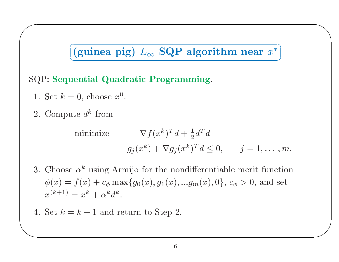# $(guinea pig) L_{\infty} SQP algorithm near x^*$ <br>uential Quadratic Programming.<br>= 0, choose  $x^0$ .<br>ute  $d^k$  from V m near  $x^*$

 $\bigwedge$ 

Τ

 $\overline{\phantom{a}}$ 

# SQP: Sequential Quadratic Programming.<br>
1. Set  $k = 0$ , choose  $x^0$ .<br>
2. Compute  $d^k$  from

- 
- $Set k =$ <br>Compu

 $\sqrt{2}$ 

QP: Sequential Quadratic Programming.

\n1. Set 
$$
k = 0
$$
, choose  $x^0$ .

\n2. Compute  $d^k$  from

\nminimize

\n
$$
\nabla f(x^k)^T d + \frac{1}{2} d^T d
$$
\n
$$
g_j(x^k) + \nabla g_j(x^k)^T d \leq 0, \qquad j = 1, \ldots, m.
$$
\n3. Choose  $\alpha^k$  using Armijo for the nondifferentiable merit function

\n
$$
f(x) = f(x) \cdot \frac{f(x)}{x^k} + f(x) \cdot \frac{f(x)}{x^k} + f(x) \cdot \frac{f(x)}{x^k} + f(x) \cdot \frac{f(x)}{x^k} + f(x) \cdot \frac{f(x)}{x^k} + f(x) \cdot \frac{f(x)}{x^k} + f(x) \cdot \frac{f(x)}{x^k} + f(x) \cdot \frac{f(x)}{x^k} + f(x) \cdot \frac{f(x)}{x^k} + f(x) \cdot \frac{f(x)}{x^k} + f(x) \cdot \frac{f(x)}{x^k} + f(x) \cdot \frac{f(x)}{x^k} + f(x) \cdot \frac{f(x)}{x^k} + f(x) \cdot \frac{f(x)}{x^k} + f(x) \cdot \frac{f(x)}{x^k} + f(x) \cdot \frac{f(x)}{x^k} + f(x) \cdot \frac{f(x)}{x^k} + f(x) \cdot \frac{f(x)}{x^k} + f(x) \cdot \frac{f(x)}{x^k} + f(x) \cdot \frac{f(x)}{x^k} + f(x) \cdot \frac{f(x)}{x^k} + f(x) \cdot \frac{f(x)}{x^k} + f(x) \cdot \frac{f(x)}{x^k} + f(x) \cdot \frac{f(x)}{x^k} + f(x) \cdot \frac{f(x)}{x^k} + f(x) \cdot \frac{f(x)}{x^k} + f(x) \cdot \frac{f(x)}{x^k} + f(x) \cdot \frac{f(x)}{x^k} + f(x) \cdot \frac{f(x)}{x^k} + f(x) \cdot \frac{f(x)}{x^k} + f(x) \cdot \frac{f(x)}{x^k} + f(x) \cdot \frac{f(x)}{x^k} + f(x) \cdot \frac{f(x)}{x^k} + f(x) \cdot \frac{f(x)}{x^k} + f(x)
$$

- $+\frac{1}{2}d^{T}d$ <br>  $x^{k})^{T}d \le$ <br>
ndiffere:<br>  $...g_{m}(x)$ +  $\nabla g_j(x^k)^T d \le 0$ ,  $j = 1, ..., m$ .<br>the nondifferentiable merit function<br> $g_1(x), ..., g_m(x), 0$ ,  $c_{\phi} > 0$ , and set 3. Choose  $\alpha^k$  using Armijo for the nondifferentiable merit function<br>  $\phi(x) = f(x) + c_{\phi} \max\{g_0(x), g_1(x), ...g_m(x), 0\}, c_{\phi} > 0$ , and set<br>  $x^{(k+1)} = x^k + \alpha^k d^k$ .  $\phi(x) = f(x) + c_{\phi} \max\{g_0(x), g_1(x), \dots g_m(x), 0\}, c_{\phi} > 0$ , and set<br>  $x^{(k+1)} = x^k + \alpha^k d^k$ .<br>
Set  $k = k + 1$  and return to Step 2.  $j =$ <br>+1)<br> $k =$  $x^{(k+1)}$
- $\frac{1}{2}$  $x^k = x^k + \alpha^k d^k.$ <br>=  $k + 1$  and re 4. Set  $k = k + 1$  and return to Step 2.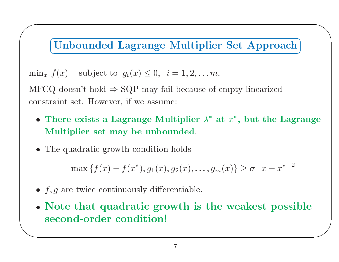# V Τ

 $\bigwedge$ 

 $\bigvee$ 

 $\sqrt{2}$ 

**(Unbounded Lagrange Multiplier Set Approach)**<br>  $f(x)$  subject to  $g_i(x) \le 0$ ,  $i = 1, 2, ..., m$ .<br>
Q doesn't hold  $\Rightarrow$  SQP may fail because of empty linearized<br>
raint set. However, if we assume: constraint $\min_x f(x)$  subject to  $g_i(x) \le$ <br>MFCQ doesn't hold  $\Rightarrow$  SQP m:<br>constraint set. However, if we a x  $f(x)$  subject to  $g_i(x) \le 0$ ,  $i = 1, 2, ... m$ .<br>CQ doesn't hold  $\Rightarrow$  SQP may fail because of straint set. However, if we assume:<br>There exists a Lagrange Multiplier  $\lambda^*$  a Multiplier set may be unbounded  ${\rm MFCQ}$ 

- Q doesn't hold  $\Rightarrow$  SQP may fail because of empty linearized<br>raint set. However, if we assume:<br>There exists a Lagrange Multiplier  $\lambda^*$  at  $x^*$ , but the l<br>dultiplier set may be unbounded.<br>The quadratic growth condition t set. However, if we assume:<br>re exists <mark>a Lagrange Mult</mark><br>tiplier set may be unbour • There exists a Lagrange Multiplier  $\lambda^*$  at  $x^*$ , but the Lagrange Multiplier set may be unbounded.<br>• The quadratic growth condition holds Multiplier set may be unbounded.
- The quadratic growth condition holds

 ${\bf r}\,\, {\bf set}\,\, {\bf may}\,\, {\bf be}\,\, {\bf unbounded}.$ atic growth condition holds • The quadratic growth condition holds<br>  $\max \{f(x) - f(x^*), g_1(x), g_2(x)\}$ <br>
• f, g are twice continuously differential

- $f, g$  are twice continuously differentiable.
- $\setminus$ max  $\{f(x) - f(x^*), g_1(x), g_2(x), \ldots, g_m(x)\} \ge \sigma ||x - x^*||^2$ <br>
e twice continuously differentiable.<br> **that quadratic growth is the weakest possitel-order condition!** max  $\{f(x) - f(x^*), g_1(x), g_2(x), \dots, g_m(x)\} \ge \sigma ||x -$ <br>
• f, g are twice continuously differentiable.<br>
• Note that quadratic growth is the weakest p second-order condition! • Note that quadratic growth is the weakest possible second-order condition! second-order condition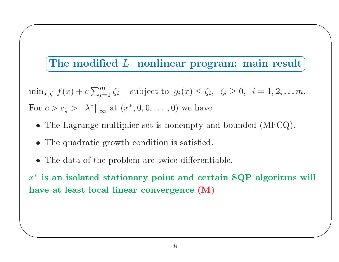# The modified  $L_1$  nonlinear program: main result V Τ

 $\bigwedge$ 

 $\bigvee$ 

 $\begin{split} \textbf{e modified}\;\; L_1\;\; \textbf{nonlinear program:}\;\; \textbf{main result}\; \ \textbf{if}\; \; \langle x\rangle+c\sum_{i=1}^m\zeta_i\quad \text{subject to}\;\; g_i(x)\leq \zeta_i,\;\; \zeta_i\geq 0,\;\; i=1,2,\dots m\; \ \textbf{if}\; \; \langle x\rangle\;||\lambda^*||_{\infty}\;\; \text{at}\; (x^*,0,0,\dots,0)\;\;\text{we have} \end{split}$  $\min_{x,\zeta}$  $\begin{aligned} \zeta \,\, &\, f(x) \,+\ \ &> c_\zeta > \vert \ \end{aligned}$ 'he Lagra  $c \sum_{i=1}^{m} \zeta_i$  subject to  $g_i(x) \leq \zeta_i$ ,  $\zeta_i \geq 0$ ,  $i = 1, 2, \ldots m$ .<br>  $||\lambda^*||_{\infty}$  at  $(x^*, 0, 0, \ldots, 0)$  we have<br>
grange multiplier set is nonempty and bounded (MFCQ).<br>
dratic growth condition is satisfied.

- For  $c > c_{\zeta} > ||\lambda^*||_{\infty}$  at  $(x^*, 0, 0, \dots, 0)$  we have<br>
 The Lagrange multiplier set is nonempty an<br>
 The quadratic growth condition is satisfied<br>
 The data of the problem are twice different  $r c >$ <br>Define • The Lagrange multiplier set is nonempty and bounded (MFCQ).<br>
• The quadratic growth condition is satisfied.<br>
• The data of the problem are twice differentiable.
	- The Lagrange multiplier set is nonempty<br>• The quadratic growth condition is satisfie<br>• The data of the problem are twice differe  $\bullet$

 $\sqrt{2}$ 

 $\setminus$ 

• The data of the problem are twice differentiable.

• The quadratic growth condition is satisfied.<br>• The data of the problem are twice different<br>• is an isolated stationary point and cert • The data of the problem are twice differentiable.<br>  $\epsilon$  is an isolated stationary point and certain<br>
ave at least local linear convergence  $(M)$  $x^*$  is an isolated stationary point and certain SQP algoritms will<br>have at least local linear convergence  $(M)$  $*$  is an<br>ave at have at least local linear convergence (M)<br> $\frac{1}{2}$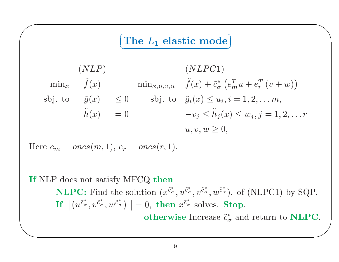### $\subset$ V ヽ Τ

 $\bigwedge$ 

$$
\begin{aligned}\n&\text{(NLP)}\\
&\text{(NLP)}\\
\min_x \quad \tilde{f}(x) \quad \min_{x, u, v, w} \quad \tilde{f}(x) + \tilde{c}_\sigma^* \left( e_m^T u + e_r^T \left( v + w \right) \right) \\
\text{sbj. to} \quad \tilde{g}(x) \le 0 \quad \text{sbj. to} \quad \tilde{g}_i(x) \le u_i, i = 1, 2, \dots m, \\
&\tilde{h}(x) = 0 \quad \text{by} \le \tilde{h}_j(x) \le w_j, j = 1, 2, \dots r \\
&\quad u, v, w \ge 0, \\
\text{re } e_m = ones(m, 1), e_r = ones(r, 1).\n\end{aligned}
$$

Here 
$$
e_m = ones(m, 1)
$$
,  $e_r = ones(r, 1)$ .

 $\sqrt{2}$ 

# $\setminus$  $\bigcup$  $w \geq$  $\geq 0,$  $\begin{aligned} \text{Here } e_m \ \text{If NLP} \ \text{I} \end{aligned}$  $m = ones(m, 1), e_r = ones(r, 1).$ <br>
P does not satisfy MFCQ then<br>
NLPC: Find the solution  $(x^{\tilde{c}^*},$ <br>
If  $||(u^{\tilde{c}^*}, v^{\tilde{c}^*}, u^{\tilde{c}^*})|| = 0$ , then P does not satisfy MFCQ then<br> **NLPC:** Find the solution  $(x^{\tilde{c}_d^*})$ <br> **If**  $||(u^{\tilde{c}_\sigma^*}, v^{\tilde{c}_\sigma^*}, w^{\tilde{c}_\sigma^*})|| = 0$ , then<br>
otherw **NLPC:** Find the solution  $(x^{\tilde{c}^*_{\sigma}}, u^{\tilde{c}^*_{\sigma}}, v^{\tilde{c}^*_{\sigma}}, w^{\tilde{c}^*_{\sigma}})$ . of (NLPC1) by SQP.<br> **If**  $|| (u^{\tilde{c}^*_{\sigma}}, v^{\tilde{c}^*_{\sigma}}, w^{\tilde{c}^*_{\sigma}})|| = 0$ , then  $x^{\tilde{c}^*_{\sigma}}$  solves. **Stop.**<br> **otherwise** Increa Find $\begin{split} \mathbf{If}\ \big|\big| \big(u^{\tilde{c}^*_{\sigma}},v^{\tilde{c}^*_{\sigma}},w^{\tilde{c}^*_{\sigma}}\big)\big|\big| &=0,\ \mathbf{then}\ x^{\tilde{c}^*_{\sigma}}\ \mathbf{solves.~Stop.} \ \mathbf{otherwise\ Increase}\ \tilde{c}^*_{\sigma}\ \mathbf{an}\ 0 \end{split}$ otherwise Increase  $\tilde{c}^*_{\sigma}$  and return to NLPC.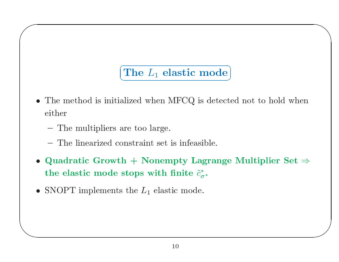## $\sqrt{2\pi}$   $\sqrt{2\pi}$   $\sqrt{2\pi}$   $\sqrt{2\pi}$   $\sqrt{2\pi}$   $\sqrt{2\pi}$   $\sqrt{2\pi}$   $\sqrt{2\pi}$   $\sqrt{2\pi}$   $\sqrt{2\pi}$   $\sqrt{2\pi}$   $\sqrt{2\pi}$   $\sqrt{2\pi}$   $\sqrt{2\pi}$   $\sqrt{2\pi}$   $\sqrt{2\pi}$   $\sqrt{2\pi}$   $\sqrt{2\pi}$   $\sqrt{2\pi}$   $\sqrt{2\pi}$   $\sqrt{2\pi}$   $\sqrt{2\pi}$  Z Τ

 $\bigwedge$ 

 $\bigvee$ 

- $\begin{aligned} \textbf{The } &\ L_1 \textbf{ elastic mode} \ \text{.} \end{aligned}$ • The method is initialized when MFCQ is detected not to hold when<br>
either<br>
- The multipliers are too large.<br>
- The linearized constraint set is infeasible.<br>
• Quodratic Growth + Nonempty Legrange Multiplier Set  $\rightarrow$ either
	- $\equiv$  The multipliers

 $\sqrt{2}$ 

- $\mathcal{L}^{\text{max}}_{\text{max}}$
- $-$  The multipliers are too large.<br> $-$  The linearized constraint set<br> $\mathbf Q$ uadratic Growth  $+$  Nonem - The linearized constraint set is infeasible.<br> **Quadratic Growth + Nonempty Lagra**<br>
the elastic mode stops with finite  $\tilde{c}^*_{\sigma}$ . • Quadratic Growth + Nonempty Lagrange Multiplier Set  $\Rightarrow$  the elastic mode stops with finite  $\tilde{c}^*_{\sigma}$ .<br>• SNOPT implements the  $L_1$  elastic mode. • Quadratic Growth  $+$ <br>the elastic mode stop<br>• SNOPT implements the the elastic mode stops with finite  $\tilde{c}_{\sigma}^*.$
- e elastic mode stops with finite  $\tilde{c}$ <br>NOPT implements the  $L_1$  elastic mode • SNOPT implements the  $L_1$  elastic mode.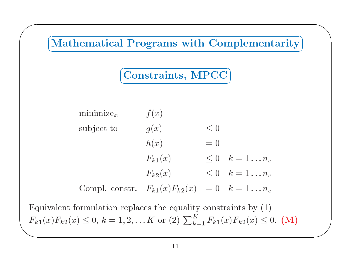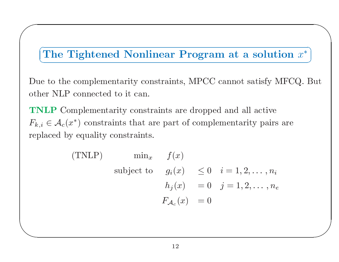# Z

 $\bigwedge$ 

Τ

 $\bigvee$ 

 $\sqrt{2}$ 

 $\setminus$ 

e to the complementarity constraints, MPCC<br>
er NLP connected to it can.<br> **NLP** Complementarity constraints are droppe<br>  $i \in A_c(x^*)$  constraints that are part of compl other NLP connected to it can.

(The Tightened Nonlinear Program at a solution  $x^*$ )<br>e to the complementarity constraints, MPCC cannot satisfy MFCQ. E<br>ner NLP connected to it can.<br>NLP Complementarity constraints are dropped and all active<br> $i \in A_c(x^*)$  co Due to the complementarity constraints, MPCC cannot satisfy MFCQ. But<br>other NLP connected to it can.<br>**TNLP** Complementarity constraints are dropped and all active<br> $F_{k,i} \in \mathcal{A}_c(x^*)$  constraints that are part of complemen  $P$  connected to it can.<br>Complementarity constraints<br> $\alpha(x^*)$  constraints that a<br>by equality constraints TNLP**P** Complementarity constraints are dropped and all active<br>  $\mathcal{A}_c(x^*)$  constraints that are part of complementarity pairs<br>
ced by equality constraints.<br>
(TNLP)  $\min_x f(x)$ <br>
subject to  $g(x) < 0$   $i = 1, 2, ..., n$  $F_{k\hspace{0.025cm},\hspace{0.025cm}i}$  $i \in$ <br>lac  $\in \mathcal{A}_c(x^*)$  constraints that are part of complementarity pairs are<br>aced by equality constraints.<br>(TNLP)  $\min_x$   $f(x)$ <br>subject to  $g_i(x) \leq 0$   $i = 1, 2, ..., n_i$ 

replaced by equality constraints.  
\n(TNLP) 
$$
\min_x f(x)
$$
  
\nsubject to  $g_i(x) \le 0 \quad i = 1, 2, ..., n_i$   
\n $h_j(x) = 0 \quad j = 1, 2, ..., n_e$   
\n $F_{\mathcal{A}_c}(x) = 0$   
\n12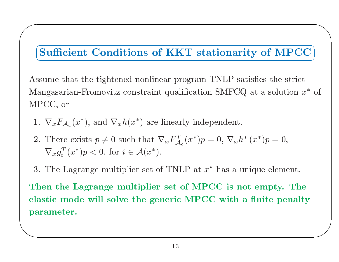# L Τ

 $\bigwedge$ 

 $\bigvee$ 

**Sufficient Conditions of KKT stationarity of MPCC**<br>ssume that the tightened nonlinear program TNLP satisfies the strict<br>angasarian-Fromovitz constraint qualification SMFCQ at a solution  $x^*$ <br>PCC, or<br> $\therefore \nabla_x F_A(x^*)$ , and Assume that the tightened nonlinear program TNLP satisfies the strict e that the tightened nonlinear program<br>sarian-Fromovitz constraint qualification<br>, or<br> $F_A(r^*)$  and  $\nabla h(r^*)$  are linearly index m TNLP satisfies the strict<br>
:ion SMFCQ at a solution *a*<br>
dependent.<br>  $p = 0, \nabla_x h^T(x^*)p = 0,$ Mangasarian-Fromovitz constraint qualification SMFCQ at a solution  $x^*$  of<br>MPCC, or<br>1.  $\nabla_x F_{\mathcal{A}_c}(x^*)$ , and  $\nabla_x h(x^*)$  are linearly independent.<br>2. There exists  $p \neq 0$  such that  $\nabla_x F_{\mathcal{A}_c}^T(x^*)p = 0$ ,  $\nabla_x h^T(x$ z constraint qualification SMFCQ $c_x h(x^*)$  are linearly independent.  $\rm MPC{,}$ 

1PCC, or $1.~~\nabla_x F_{\mathcal{A}_x}$ 

 $\sqrt{2}$ 

 $\setminus$ 

- Find  $\nabla_x F_{\mathcal{A}_c}(x^*)$ , and  $\nabla_x h(x^*)$  are linearly independent.<br>There exists  $p \neq 0$  such that  $\nabla_x F_{\mathcal{A}_c}^T(x^*)p = 0$ ,  $\nabla_x h$ <br> $\nabla_x g_i^T(x^*)p < 0$ , for  $i \in \mathcal{A}(x^*)$ . 2. There exists  $p \neq 0$  such that  $\nabla_x F_{\mathcal{A}_c}^T(x^*)p = 0$ ,  $\nabla_x h^T(x^*)p = 0$ ,<br>  $\nabla_x g_i^T(x^*)p < 0$ , for  $i \in \mathcal{A}(x^*)$ .<br>
3. The Lagrange multiplier set of TNLP at  $x^*$  has a unique element<br>
Then the Lagrange multiplier s e exists  $p \neq$ <br> $\int (x^*)p < 0,$ <br>Lagrange m  $\nabla_x g_i^T$
- $\frac{T}{i}(x^*)p$ <br>Lagrai 3.

 $p < 0, \text{ for } i \in \mathcal{A}(x^*).$ <br>
ange multiplier set of<br>
agrange multiplier<br>  $e$  will solve the gere The Lagrange multiplier set of TNLP at  $x^*$  has a unique element.<br>
The Lagrange multiplier set of MPCC is not empty. The<br>
satic mode will solve the generic MPCC with a finite penal<br>
rameter. Thenn the Lagrange multiplier set of MPCC is not empty. The<br>tic mode will solve the generic MPCC with a finite penalt:<br>ameter. elastic mode will solve the generic MPCC with a finite penalty<br>parameter.<br> $\overbrace{\hspace{2.5cm}}^{13}$ parameter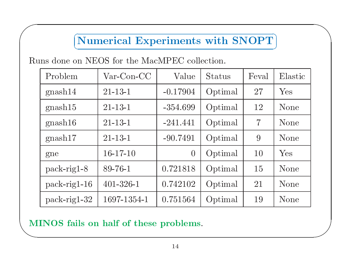### $\subset$ V  $\bigcap$ Τ

 $\bigwedge$ 

 $\bigvee$ 

 $\sqrt{2}$ 

| Problem        | $Var$ -Con-CC   | Value          | <b>Status</b> | Feval          | Elastic |
|----------------|-----------------|----------------|---------------|----------------|---------|
| gnash14        | $21 - 13 - 1$   | $-0.17904$     | Optimal       | 27             | Yes     |
| gnash15        | $21 - 13 - 1$   | $-354.699$     | Optimal       | 12             | None    |
| gnash16        | $21 - 13 - 1$   | $-241.441$     | Optimal       | $\overline{7}$ | None    |
| gnash17        | $21 - 13 - 1$   | $-90.7491$     | Optimal       | 9              | None    |
| gne            | $16-17-10$      | $\overline{0}$ | Optimal       | 10             | Yes     |
| $pack-rig1-8$  | $89 - 76 - 1$   | 0.721818       | Optimal       | 15             | None    |
| pack-rig1-16   | $401 - 326 - 1$ | 0.742102       | Optimal       | 21             | None    |
| $pack-rig1-32$ | 1697-1354-1     | 0.751564       | Optimal       | 19             | None    |

MINOS fails on half of these problems.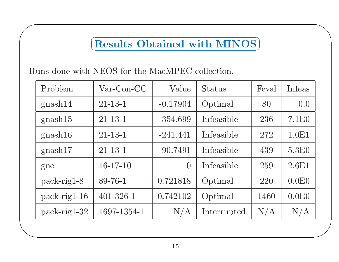# $\subset$ <u>C</u>

 $\bigwedge$ 

 $\sqrt{2}$ 

| Problem        | $Var$ -Con-CC   | Value          | Status      | Feval | Infeas            |
|----------------|-----------------|----------------|-------------|-------|-------------------|
| gnash14        | $21 - 13 - 1$   | $-0.17904$     | Optimal     | 80    | 0.0               |
| gnash15        | $21 - 13 - 1$   | $-354.699$     | Infeasible  | 236   | 7.1E0             |
| gnash16        | $21 - 13 - 1$   | $-241.441$     | Infeasible  | 272   | 1.0E1             |
| gnash17        | $21 - 13 - 1$   | $-90.7491$     | Infeasible  | 439   | 5.3E <sub>0</sub> |
| gne            | $16-17-10$      | $\overline{0}$ | Infeasible  | 259   | 2.6E1             |
| $pack-rig1-8$  | $89 - 76 - 1$   | 0.721818       | Optimal     | 220   | 0.0E0             |
| $pack-rig1-16$ | $401 - 326 - 1$ | 0.742102       | Optimal     | 1460  | 0.0E0             |
| $pack-rig1-32$ | 1697-1354-1     | N/A            | Interrupted | N/A   | N/A               |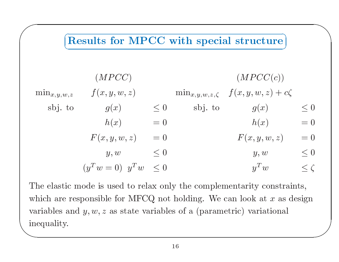

inequality.  $\overline{\phantom{a}}$  $w = 0$   $y^2 w \le 0$   $y^2 w$ <br>e is used to relax only the complementarity consible for MFCQ not holding. We can look at  $w =$ <br>is u<br>sible<br> $y, z \in$  $y^T w \leq 0$ <br>used to relax or<br>le for MFCQ no<br>as state variables  $w \leq \zeta$ <br>constraints,<br>at x as design<br>ational  $\rm The$ e elastic mode is used to relax only the complementarity constraints,<br>ich are responsible for MFCQ not holding. We can look at  $x$  as design<br>iables and  $y, w, z$  as state variables of a (parametric) variational<br>quality. which are responsible for MFCQ not holding. We can look at  $x$  as design variables and  $y, w, z$  as state variables of a (parametric) variational inequality. variables and  $y, w, z$  as state variables of a (parametric) variational<br>inequality.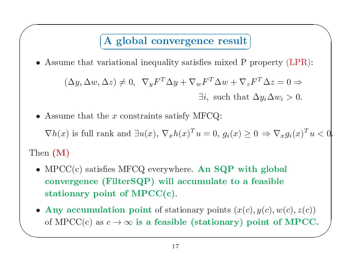# V Τ

 $\bigwedge$ 

 $\sqrt{2}$ 

\n- Assume that variational inequality satisfies mixed P property (LPR):
\n- $$
(\Delta y, \Delta w, \Delta z) \neq 0, \ \nabla_y F^T \Delta y + \nabla_w F^T \Delta w + \nabla_z F^T \Delta z = 0 \Rightarrow
$$
\n
$$
\exists i, \text{ such that } \Delta y_i \Delta w_i > 0.
$$
\n
\n- Assume that the  $x$  constraints satisfy MFCQ:
\n

- $(\Delta y, \Delta w, \Delta z) \neq 0$ ,  $\nabla_y F^T \Delta y + \nabla_w F^T \Delta w + \nabla_z F^T \Delta z = 0 \Rightarrow$ <br>  $\exists i$ , such that  $\Delta y_i \Delta w_i > 0$ .<br>
 Assume that the x constraints satisfy MFCQ:<br>  $\nabla h(x)$  is full rank and  $\exists u(x), \nabla_x h(x)^T u = 0$ ,  $g_i(x) \geq 0 \Rightarrow \nabla_x g_i(x)$ <br>
hen (  $\exists i, \text{ such}$   $\exists i, \text{ such}$ <br>• Assume that the  $x$  constraints satisfy MFCQ: Then (M)
	- $\nabla h(x)$  is full rank and  $\exists u(x), \nabla_x h(x)^T u = 0, g_i(x) \ge 0 \Rightarrow \nabla_x g_i(x)^T u < 0$ <br>
	in (M)<br>
	MPCC(c) satisfies MFCQ everywhere. An SQP with global<br>
	convergence (FilterSQP) will accumulate to a feasible<br>
	stationary point of MPCC(c).<br>  $\nabla h(x)$  is full rank and  $\exists u(x), \nabla_x h(x)^T u = 0, g_i(x) \ge 0 \Rightarrow$ <br>
	n (M)<br>
	MPCC(c) satisfies MFCQ everywhere. An SQP with gloconvergence (FilterSQP) will accumulate to a feasi<br>
	stationary point of MPCC(c).  $\bullet$ • MPCC(c) satisfies MFCQ<br>convergence (FilterSQ)<br>stationary point of MI  $\begin{split} & \text{Q everywhere. An SQP with global} \ & \text{QP) will accumulate to a feasible} \ & \text{IPCC(c)}. \ & \text{S in the image:} \ & \text{S in the image:} \ & \text{S in the image:} \ & \text{S in the image:} \ & \text{S in the image:} \ & \text{S in the image:} \ & \text{S in the image:} \ & \text{S in the image:} \ & \text{S in the image:} \ & \text{S in the image:} \ & \text{S in the image:} \ & \text{S in the image:} \ & \text{S in the image:} \ & \text{S in the image:} \ & \text{S in the image:} \ & \text{S in the image:} \ & \text$ convergence (FilterSQP) will accumulate to a feasible stationary point of  $\mathrm{MPCC}(\mathrm{c})$ .
- $\setminus$  $\left( \begin{array}{c} 0 \ \end{array} \right)$ e (FilterSQP) will accumulate to a feasible<br>point of MPCC(c).<br>ulation point of stationary points  $(x(c), y(c), w$ <br>as  $c \to \infty$  is a feasible (stationary) point of y point of MPCC(c)<br>umulation point of sta<br>c) as  $c \rightarrow \infty$  is a feasi • Any<br>of M y accumulation point of stationary points  $(x(c), y(c), w(c), z(c))$ <br>MPCC(c) as  $c \to \infty$  is a feasible (stationary) point of MPCC<br>17 of MPCC(c) as  $c \to \infty$  is a feasible (stationary) point of MPCC.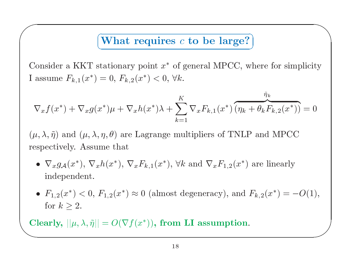# $\sqrt{1 + 1}$  $\setminus$ Τ

 $\bigwedge$ 

 $\overline{\phantom{a}}$ 

What requires c to be large?<br>
tationary point  $x^*$  of general MPCC, wi $= 0, F_{k,2}(x^*) < 0, \forall k.$ r a KKT $e \mathrel{F_{k,1}(x^*}$ 

Consider a KKT stationary point 
$$
x^*
$$
 of general MPCC, where for simplicity  
\nI assume  $F_{k,1}(x^*) = 0$ ,  $F_{k,2}(x^*) < 0$ ,  $\forall k$ .  
\n
$$
\nabla_x f(x^*) + \nabla_x g(x^*) \mu + \nabla_x h(x^*) \lambda + \sum_{k=1}^K \nabla_x F_{k,1}(x^*) \overbrace{(\eta_k + \theta_k F_{k,2}(x^*))}^{\tilde{\eta}_k} = 0
$$
\n
$$
(\mu, \lambda, \tilde{\eta}) \text{ and } (\mu, \lambda, \eta, \theta) \text{ are Lagrange multipliers of TNLP and MPCC respectively. Assume that}
$$
\n•  $\nabla_x g_{\mathcal{A}}(x^*)$ ,  $\nabla_x h(x^*)$ ,  $\nabla_x F_{k,1}(x^*)$ ,  $\forall k$  and  $\nabla_x F_{1,2}(x^*)$  are linearly

+  $\nabla_x g(x^*)\mu + \nabla_x h(x^*)\lambda + \sum_{k=1} \nabla_x F_{k,1}(x^*) \left( \eta_k + \theta_k F_k \right)$ <br>
nd  $(\mu, \lambda, \eta, \theta)$  are Lagrange multipliers of TNLP and  $\Lambda$ <br>
ky. Assume that<br>  $(x^*), \nabla_x h(x^*), \nabla_x F_{k,1}(x^*)$ ,  $\forall k$  and  $\nabla_x F_{1,2}(x^*)$  are lin  $(\mu, \lambda, \tilde{\eta}) \text{ and } (\mu, \lambda, \eta, \theta)$ <br>respectively. Assume t ) are<br>that<br>\*)  $\nabla$  $\rm respectively.$ 

- d  $(\mu, \lambda, \eta, \theta)$  are Lagrange multipliers of TNLP and MPCC<br>y. Assume that<br> $x^*$ ),  $\nabla_x h(x^*)$ ,  $\nabla_x F_{k,1}(x^*)$ ,  $\forall k$  and  $\nabla_x F_{1,2}(x^*)$  are linearly<br>ndent. . Assume that  $(x^*), \nabla_x h(x^*),$  dent. •  $\nabla_x g_{\mathcal{A}}(x^*), \nabla_x h(x^*), \nabla_x F_{k,1}(x^*), \forall k \text{ and } \nabla_x F_{1,2}(x^*)$ <br>independent. •  $\nabla_x g_{\mathcal{A}}(x^*)$ ,  $\nabla_x h(x^*)$ ,  $\nabla_x F_{k,1}(x^*)$ ,  $\nabla k$  and  $\nabla_x F_{1,2}(x^*)$  are linearly<br>independent.<br>•  $F_{1,2}(x^*) < 0$ ,  $F_{1,2}(x^*) \approx 0$  (almost degeneracy), and  $F_{k,2}(x^*) = -$ <br>for  $k > 2$ . independent
- $F_{1,2}(x^*) < 0$ ,  $F_{1,2}(x^*) \approx 0$  (almost degeneracy), and  $F_{k,2}(x^*) = -O(1)$ ,<br>for  $k \ge 2$ .<br>learly,  $||\mu, \lambda, \tilde{\eta}|| = O(\nabla f(x^*))$ , from LI assumption.<br>18 •  $F_{1,2}(x^*) < 0, F_{1,1}$ <br>for  $k \ge 2$ .<br>learly,  $||\mu, \lambda, \tilde{\eta}|| =$  $\overline{a}$ for  $k \geq 2$ .

 $\begin{pmatrix} 1 \\ 1 \end{pmatrix}$ r  $k \geq 2$ .<br>  $\frac{dy}{dx}$ ,  $\frac{dy}{dx}$ . Clearly,  $||\mu, \lambda, \tilde{\eta}|| = O(\nabla f(x^*)),$  from  $\frac{1}{18}$  m LI assumption.

 $\sqrt{2}$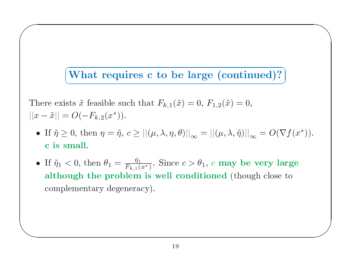### سم L ヽ Τ

 $\bigwedge$ 

 $\overline{\phantom{a}}$ 

**What requires c to be large (continued)?**<br>ts  $\tilde{x}$  feasible such that  $F_{k,1}(\tilde{x}) = 0$ ,  $F_{1,2}(\tilde{x}) = 0$ ,<br> $O(-F_{k,2}(x^*))$ .  $\begin{split} & \textbf{requires c to be large (continued)}? \ \text{ible such that } & F_{k,1}(\tilde{x})=0, \, F_{1,2}(\tilde{x})=0, \ & \Omega_{2}(x^{\ast})). \ & \eta=\tilde{\eta}, \, c\geq ||(\mu,\lambda,\eta,\theta)||_{\infty}=||(\mu,\lambda,\tilde{\eta})||_{\infty}=O(\nabla_{\theta} \end{split}$ There exists  $\tilde{x}$  feasible such that  $F_{k,1}(\tilde{x}) = 0, F_{1,2}(\tilde{x})$  $||x-\tilde{x}|| = O(-F_{k,2}(x^*)).$ 

 $\sqrt{2}$ 

- c is s There exists  $\tilde{x}$  feasible such that  $F_{k,1}(\tilde{x}) = 0$ ,  $F_{1,2}(\tilde{x}) = 0$ ,<br>  $x - \tilde{x}|| = O(-F_{k,2}(x^*))$ .<br>
• If  $\tilde{\eta} \ge 0$ , then  $\eta = \tilde{\eta}$ ,  $c \ge ||(\mu, \lambda, \eta, \theta)||_{\infty} = ||(\mu, \lambda, \tilde{\eta})||_{c}$ <br>
c is small. • If  $\tilde{n} > 0$ , then  $n = \tilde{n}$  $c \ge ||(\mu, \lambda, \eta, \theta)||_{\infty} = ||(\mu, \lambda, \tilde{\eta})||_{\infty}$
- $|x \tilde{x}|| = O(-F_{k,2}(x^*)).$ <br>
 If  $\tilde{\eta} \ge 0$ , then  $\eta = \tilde{\eta}$ ,  $c \ge ||(\mu, \lambda, \eta, \theta)||_{\infty} = ||(\mu, \lambda, \tilde{\eta})||_{\infty} = O(\nabla f(x^*)).$ <br>
c is small.<br>
 If  $\tilde{\eta}_1 < 0$ , then  $\theta_1 = \frac{\tilde{\eta}_1}{F_{k,1}(x^*)}$ . Since  $c > \theta_1$ , c may be very large a c is small. $\text{If } \tilde{\eta}_1 < 0, \text{ t}$ although • If  $\tilde{\eta}_1 < 0$ , then  $\theta_1 = \frac{\tilde{\eta}_1}{F_{k,1}(x^*)}$ . Since  $c > \theta_1$ , c may be very large although the problem is well conditioned (though close to complementary degeneracy). although the problem is well conditioned (though close to complementary degeneracy).<br>  $\frac{19}{19}$ complementary degeneracy).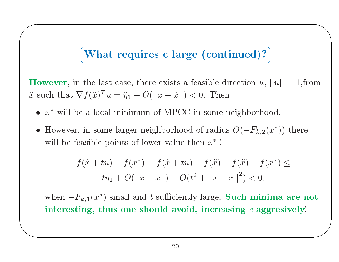# $\sqrt{2\pi r}$ V Τ

 $\bigwedge$ 

 $\overline{\phantom{a}}$ 

**What requires c large (continued)?**<br>the last case, there exists a feasible direction  $u$ ,<br> $f(\tilde{x})^T u = \tilde{\eta}_1 + O(||x - \tilde{x}||) < 0$ . Then<br>a local minimum of MPCC in some neighborho However, in the last case, there exists a feasible direction u,  $||u|| = 1$ , from<br>  $\tilde{x}$  such that  $\nabla f(\tilde{x})^T u = \tilde{\eta}_1 + O(||x - \tilde{x}||) < 0$ . Then<br>
•  $x^*$  will be a local minimum of MPCC in some neighborhood.<br>
• However, in s  $\lim_{\mathrm{at}}$  $\tilde{x}$  such that  $\nabla f(\tilde{x})^T u = \tilde{\eta}_1 + O(||x - \tilde{x}||)$ <br>
•  $x^*$  will be a local minimum of MPC(<br>
• However, in some larger neighborhood

 $\begin{aligned} \n\mu u &= \eta_1 + O(||x - \tilde{x}||) < \n\text{cal minimum of MPC in the image.} \n\end{aligned}$  $\bullet$ 

 $\sqrt{2}$ 

 $\setminus$ 

such that  $\nabla f(\tilde{x})^T u = \tilde{\eta}_1 + O(||x - \tilde{x}||) < 0$ . Then<br>
•  $x^*$  will be a local minimum of MPCC in some neighborhood.<br>
• However, in some larger neighborhood of radius  $O(-F_{k,2}(x^*)$ <br>
will be feasible points of lower value • However, in some larger neighborhood of radius  $O(-F_{k,2}(x^*))$  there<br>will be feasible points of lower value then  $x^*$ !<br> $f(\tilde{x} + tu) - f(x^*) = f(\tilde{x} + tu) - f(\tilde{x}) + f(\tilde{x}) - f(x^*) \le$ 

will be feasible points of lower value then 
$$
x^*
$$
!  
\n
$$
f(\tilde{x} + tu) - f(x^*) = f(\tilde{x} + tu) - f(\tilde{x}) + f(\tilde{x}) - f(x^*) \le
$$
\n
$$
t\tilde{\eta}_1 + O(||\tilde{x} - x||) + O(t^2 + ||\tilde{x} - x||^2) < 0,
$$
\nwhen  $-F_{k,1}(x^*)$  small and  $t$  sufficiently large. Such minima a interesting, thus one should avoid, increasing  $c$  aggressive

 $\tilde{p}_1 + O(||\tilde{x})$ <br>small and<br>us one si  $\frac{1}{x}$  =  $\begin{aligned} \mathcal{L} & = x \vert \vert \big) + O(t^2 + \vert \vert \tilde{x} \vert) \ & t \text{ sufficiently large} \ \mathbf{u} & = \mathbf{v} \end{aligned}$  $x =$ se.  $\left| -x\right| ^{2}) < 0,$ . Such mir<br>easing  $c$  ag when  $-F_{k,1}(x^*)$  small and t sufficiently large. Such minima are not<br>interesting, thus one should avoid, increasing c aggresively!  $r =$  $\mu$ ) small and  $t$  sufficiently large. Such hus one should avoid, increasing  $\begin{CD} \text{interesting, thus one should avoid, increasing } c \text{ aggregatesively!} \ \end{CD}$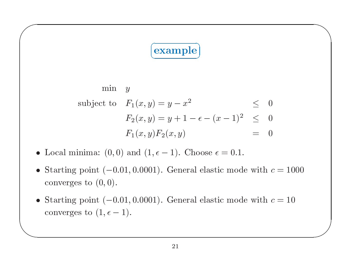### C V ヽ Τ

 $\bigwedge$ 

 $\overline{\phantom{a}}$ 

$$
\begin{array}{rcl}\n\textbf{(example)}\\ \n\text{min} & y\\ \n\text{subject to} & F_1(x, y) = y - x^2 & \leq & 0\\ \n& F_2(x, y) = y + 1 - \epsilon - (x - 1)^2 & \leq & 0\\ \n& F_1(x, y)F_2(x, y) & = & 0\\ \n\text{nima: (0, 0) and (1, } \epsilon - 1). \text{ Choose } \epsilon = 0.1.\\ \n\text{point } (-0.01, 0.0001). \text{ General elastic mode with } c \n\end{array}
$$

 $F_1(x, y)F_2(x, y)$  = and  $(1, \epsilon - 1)$ . Choose  $\epsilon = 0.1$ .  $\bullet$ 

 $\sqrt{2}$ 

- $F_1(x, y)F_2(x, y) = 0$ <br>
 Local minima: (0,0) and (1, $\epsilon 1$ ). Choose  $\epsilon = 0.1$ .<br>
 Starting point (-0.01,0.0001). General elastic mode with dependency to (0,0).<br>
 Starting point (-0.01,0.0001). General elastic mode with de converges to  $(0,0)$ .
- Starting point  $(-0.01, 0.0001)$ . General elastic mode with  $c = 1000$  converges to  $(0, 0)$ .<br>• Starting point  $(-0.01, 0.0001)$ . General elastic mode with  $c = 10$  converges to  $(1, \epsilon 1)$ . • Starting point  $(-0.01, 0.0001)$ . General elastic mode with  $c =$ <br>converges to  $(0, 0)$ .<br>• Starting point  $(-0.01, 0.0001)$ . General elastic mode with  $c =$ <br>converges to  $(1, \epsilon - 1)$ . • Starting point  $(-0.01, 0.0001)$ . General elastic mode with  $c = 10$  converges to  $(1, \epsilon - 1)$ . converges to  $(1, \epsilon - 1)$ .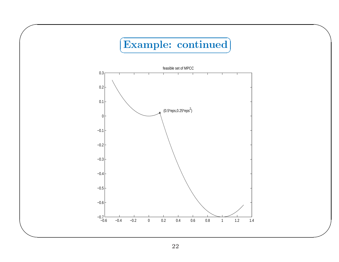